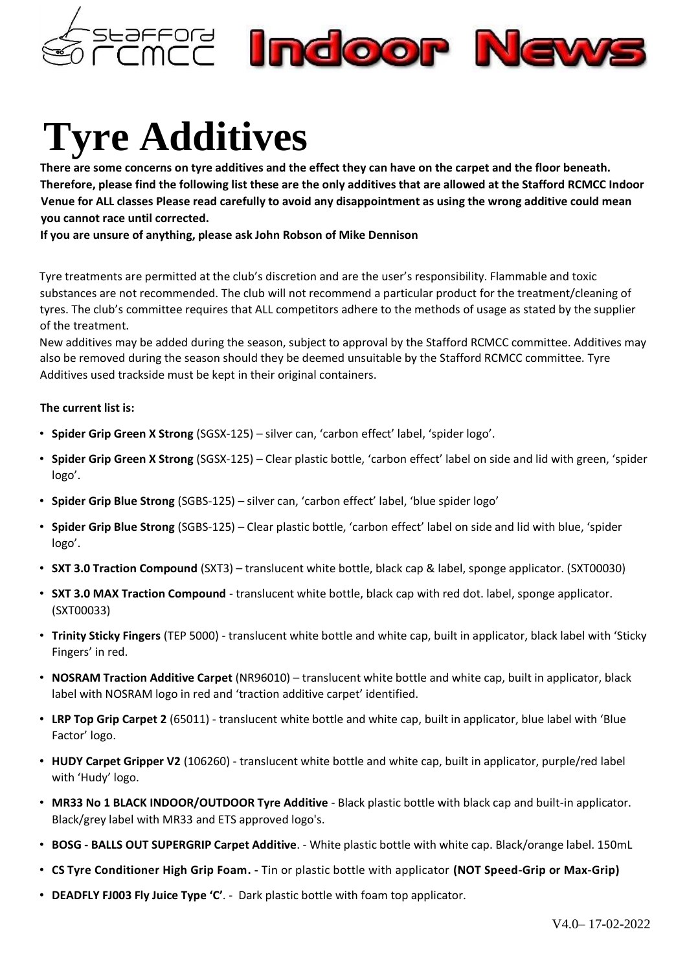

## **Tyre Additives**

**There are some concerns on tyre additives and the effect they can have on the carpet and the floor beneath. Therefore, please find the following list these are the only additives that are allowed at the Stafford RCMCC Indoor Venue for ALL classes Please read carefully to avoid any disappointment as using the wrong additive could mean you cannot race until corrected.** 

**If you are unsure of anything, please ask John Robson of Mike Dennison** 

Tyre treatments are permitted at the club's discretion and are the user's responsibility. Flammable and toxic substances are not recommended. The club will not recommend a particular product for the treatment/cleaning of tyres. The club's committee requires that ALL competitors adhere to the methods of usage as stated by the supplier of the treatment.

New additives may be added during the season, subject to approval by the Stafford RCMCC committee. Additives may also be removed during the season should they be deemed unsuitable by the Stafford RCMCC committee. Tyre Additives used trackside must be kept in their original containers.

## **The current list is:**

- **Spider Grip Green X Strong** (SGSX-125) silver can, 'carbon effect' label, 'spider logo'.
- **Spider Grip Green X Strong** (SGSX-125) Clear plastic bottle, 'carbon effect' label on side and lid with green, 'spider logo'.
- **Spider Grip Blue Strong** (SGBS-125) silver can, 'carbon effect' label, 'blue spider logo'
- **Spider Grip Blue Strong** (SGBS-125) Clear plastic bottle, 'carbon effect' label on side and lid with blue, 'spider logo'.
- **SXT 3.0 Traction Compound** (SXT3) translucent white bottle, black cap & label, sponge applicator. (SXT00030)
- **SXT 3.0 MAX Traction Compound** translucent white bottle, black cap with red dot. label, sponge applicator. (SXT00033)
- **Trinity Sticky Fingers** (TEP 5000) translucent white bottle and white cap, built in applicator, black label with 'Sticky Fingers' in red.
- **NOSRAM Traction Additive Carpet** (NR96010) translucent white bottle and white cap, built in applicator, black label with NOSRAM logo in red and 'traction additive carpet' identified.
- **LRP Top Grip Carpet 2** (65011) translucent white bottle and white cap, built in applicator, blue label with 'Blue Factor' logo.
- **HUDY Carpet Gripper V2** (106260) translucent white bottle and white cap, built in applicator, purple/red label with 'Hudy' logo.
- **MR33 No 1 BLACK INDOOR/OUTDOOR Tyre Additive** Black plastic bottle with black cap and built-in applicator. Black/grey label with MR33 and ETS approved logo's.
- **BOSG - BALLS OUT SUPERGRIP Carpet Additive**. White plastic bottle with white cap. Black/orange label. 150mL
- **CS Tyre Conditioner High Grip Foam. -** Tin or plastic bottle with applicator **(NOT Speed-Grip or Max-Grip)**
- **DEADFLY FJ003 Fly Juice Type 'C'**. Dark plastic bottle with foam top applicator.